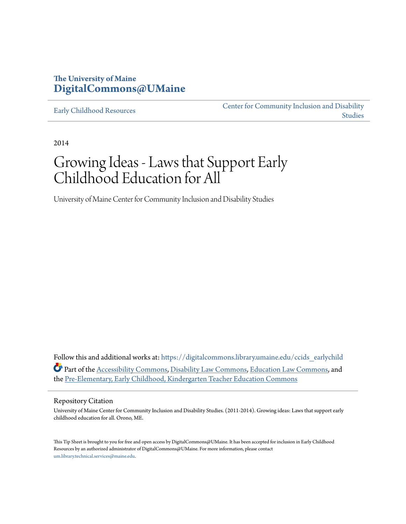#### **The University of Maine [DigitalCommons@UMaine](https://digitalcommons.library.umaine.edu?utm_source=digitalcommons.library.umaine.edu%2Fccids_earlychild%2F18&utm_medium=PDF&utm_campaign=PDFCoverPages)**

[Early Childhood Resources](https://digitalcommons.library.umaine.edu/ccids_earlychild?utm_source=digitalcommons.library.umaine.edu%2Fccids_earlychild%2F18&utm_medium=PDF&utm_campaign=PDFCoverPages)

[Center for Community Inclusion and Disability](https://digitalcommons.library.umaine.edu/ccids?utm_source=digitalcommons.library.umaine.edu%2Fccids_earlychild%2F18&utm_medium=PDF&utm_campaign=PDFCoverPages) [Studies](https://digitalcommons.library.umaine.edu/ccids?utm_source=digitalcommons.library.umaine.edu%2Fccids_earlychild%2F18&utm_medium=PDF&utm_campaign=PDFCoverPages)

2014

## Growing Ideas - Laws that Support Early Childhood Education for All

University of Maine Center for Community Inclusion and Disability Studies

Follow this and additional works at: [https://digitalcommons.library.umaine.edu/ccids\\_earlychild](https://digitalcommons.library.umaine.edu/ccids_earlychild?utm_source=digitalcommons.library.umaine.edu%2Fccids_earlychild%2F18&utm_medium=PDF&utm_campaign=PDFCoverPages) Part of the [Accessibility Commons](http://network.bepress.com/hgg/discipline/1318?utm_source=digitalcommons.library.umaine.edu%2Fccids_earlychild%2F18&utm_medium=PDF&utm_campaign=PDFCoverPages), [Disability Law Commons](http://network.bepress.com/hgg/discipline/1074?utm_source=digitalcommons.library.umaine.edu%2Fccids_earlychild%2F18&utm_medium=PDF&utm_campaign=PDFCoverPages), [Education Law Commons,](http://network.bepress.com/hgg/discipline/596?utm_source=digitalcommons.library.umaine.edu%2Fccids_earlychild%2F18&utm_medium=PDF&utm_campaign=PDFCoverPages) and the [Pre-Elementary, Early Childhood, Kindergarten Teacher Education Commons](http://network.bepress.com/hgg/discipline/808?utm_source=digitalcommons.library.umaine.edu%2Fccids_earlychild%2F18&utm_medium=PDF&utm_campaign=PDFCoverPages)

#### Repository Citation

University of Maine Center for Community Inclusion and Disability Studies. (2011-2014). Growing ideas: Laws that support early childhood education for all. Orono, ME.

This Tip Sheet is brought to you for free and open access by DigitalCommons@UMaine. It has been accepted for inclusion in Early Childhood Resources by an authorized administrator of DigitalCommons@UMaine. For more information, please contact [um.library.technical.services@maine.edu](mailto:um.library.technical.services@maine.edu).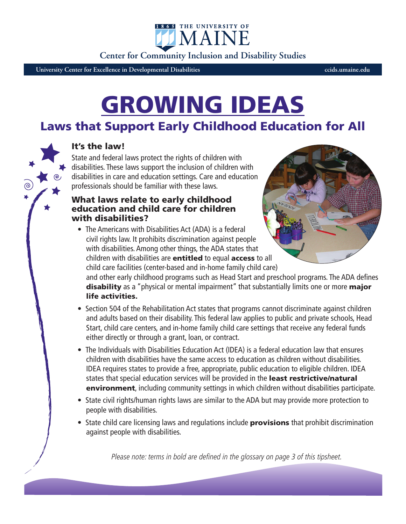**Center for Community Inclusion and Disability Studies**

1865 THE UNIVERSITY OF IMAIN

**University Center for Excellence in Developmental Disabilities ccids.umaine.edu**

# GROWING IDEAS

## Laws that Support Early Childhood Education for All

#### It's the law!

State and federal laws protect the rights of children with disabilities. These laws support the inclusion of children with disabilities in care and education settings. Care and education professionals should be familiar with these laws.

#### What laws relate to early childhood education and child care for children with disabilities?

• The Americans with Disabilities Act (ADA) is a federal civil rights law. It prohibits discrimination against people with disabilities. Among other things, the ADA states that children with disabilities are entitled to equal access to all child care facilities (center-based and in-home family child care)



and other early childhood programs such as Head Start and preschool programs. The ADA defines disability as a "physical or mental impairment" that substantially limits one or more major life activities.

- Section 504 of the Rehabilitation Act states that programs cannot discriminate against children and adults based on their disability. This federal law applies to public and private schools, Head Start, child care centers, and in-home family child care settings that receive any federal funds either directly or through a grant, loan, or contract.
- The Individuals with Disabilities Education Act (IDEA) is a federal education law that ensures children with disabilities have the same access to education as children without disabilities. IDEA requires states to provide a free, appropriate, public education to eligible children. IDEA states that special education services will be provided in the least restrictive/natural environment, including community settings in which children without disabilities participate.
- State civil rights/human rights laws are similar to the ADA but may provide more protection to people with disabilities.
- State child care licensing laws and regulations include **provisions** that prohibit discrimination against people with disabilities.

Please note: terms in bold are defined in the glossary on page 3 of this tipsheet.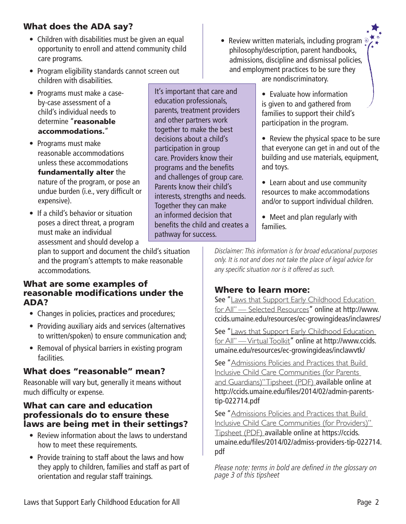#### What does the ADA say?

- Children with disabilities must be given an equal opportunity to enroll and attend community child care programs.
- Program eligibility standards cannot screen out children with disabilities.

It's important that care and education professionals, parents, treatment providers and other partners work together to make the best decisions about a child's participation in group care. Providers know their programs and the benefits and challenges of group care. Parents know their child's interests, strengths and needs.

Together they can make an informed decision that benefits the child and creates a

pathway for success.

- Programs must make a caseby-case assessment of a child's individual needs to determine "reasonable accommodations."
- Programs must make reasonable accommodations unless these accommodations

fundamentally alter the nature of the program, or pose an undue burden (i.e., very difficult or expensive).

• If a child's behavior or situation poses a direct threat, a program must make an individual assessment and should develop a

plan to support and document the child's situation and the program's attempts to make reasonable accommodations.

#### What are some examples of reasonable modifications under the ADA?

- Changes in policies, practices and procedures;
- Providing auxiliary aids and services (alternatives to written/spoken) to ensure communication and;
- Removal of physical barriers in existing program facilities.

### What does "reasonable" mean?

Reasonable will vary but, generally it means without much difficulty or expense.

#### What can care and education professionals do to ensure these laws are being met in their settings?

- Review information about the laws to understand how to meet these requirements.
- Provide training to staff about the laws and how they apply to children, families and staff as part of orientation and regular staff trainings.
- Review written materials, including program <sup>®</sup> philosophy/description, parent handbooks, admissions, discipline and dismissal policies, and employment practices to be sure they are nondiscriminatory.
	- Evaluate how information is given to and gathered from families to support their child's participation in the program.

• Review the physical space to be sure that everyone can get in and out of the building and use materials, equipment, and toys.

- Learn about and use community resources to make accommodations and/or to support individual children.
- Meet and plan regularly with families.

Disclaimer: This information is for broad educational purposes only. It is not and does not take the place of legal advice for any specific situation nor is it offered as such.

### Where to learn more:

See "Laws that Support Early Childhood Education for All" — Selected Resources" online at http://www. ccids.umaine.edu/resources/ec-growingideas/inclawres/

See "Laws that Support Early Childhood Education for All" — Virtual Toolkit" online at http://www.ccids. umaine.edu/resources/ec-growingideas/inclawvtk/

See "Admissions Policies and Practices that Build Inclusive Child Care Communities (for Parents and Guardians)" Tipsheet (PDF) available online at http://ccids.umaine.edu/files/2014/02/admin-parentstip-022714.pdf

See "Admissions Policies and Practices that Build Inclusive Child Care Communities (for Providers)" Tipsheet (PDF) available online at https://ccids. umaine.edu/files/2014/02/admiss-providers-tip-022714. pdf

Please note: terms in bold are defined in the glossary on page 3 of this tipsheet